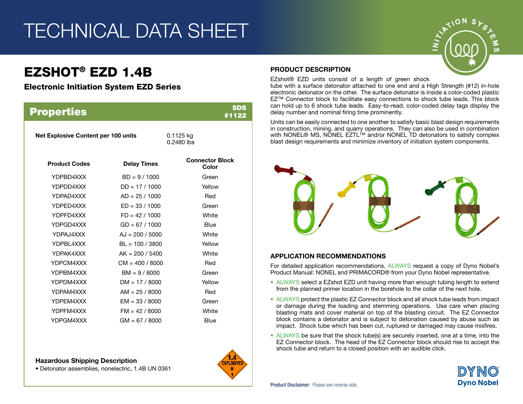# TECHNICAL DATA SHEET

# EZSHOT® EZD 1.4B

# Electronic Initiation System EZD Series

| <b>Properties</b>                   |                    |                                 | SDS<br>#1122 |
|-------------------------------------|--------------------|---------------------------------|--------------|
| Net Explosive Content per 100 units |                    | 0.1125 kg<br>0.2480 lbs         |              |
| <b>Product Codes</b>                | <b>Delay Times</b> | <b>Connector Block</b><br>Color |              |
| YDPBD4XXX                           | $BD = 9 / 1000$    | Green                           |              |
| YDPDD4XXX                           | $DD = 17 / 1000$   | Yellow                          |              |
| YDPAD4XXX                           | $AD = 25 / 1000$   | Red                             |              |
| YDPED4XXX                           | $ED = 33 / 1000$   | Green                           |              |
| YDPFD4XXX                           | $FD = 42 / 1000$   | White                           |              |
| YDPGD4XXX                           | $GD = 67 / 1000$   | <b>Blue</b>                     |              |
| YDPAJ4XXX                           | $AJ = 200 / 5000$  | White                           |              |
| YDPBL4XXX                           | $BL = 100 / 3800$  | Yellow                          |              |
| YDPAK4XXX                           | $AK = 200 / 5400$  | White                           |              |
| YDPCM4XXX                           | $CM = 400 / 8000$  | Red                             |              |
| YDPBM4XXX                           | $BM = 9 / 8000$    | Green                           |              |
| YDPDM4XXX                           | $DM = 17 / 8000$   | Yellow                          |              |
| YDPAM4XXX                           | $AM = 25 / 8000$   | Red                             |              |
| YDPEM4XXX                           | $EM = 33 / 8000$   | Green                           |              |
| YDPFM4XXX                           | $FM = 42 / 8000$   | White                           |              |
| YDPGM4XXX                           | $GM = 67 / 8000$   | Blue                            |              |
|                                     |                    |                                 |              |

#### Hazardous Shipping Description

• Detonator assemblies, nonelectric, 1.4B UN 0361



# PRODUCT DESCRIPTION

EZshot® EZD units consist of a length of green shock

tube with a surface detonator attached to one end and a High Strength (#12) in-hole electronic detonator on the other. The surface detonator is inside a color-coded plastic EZ™ Connector block to facilitate easy connections to shock tube leads. This block can hold up to 6 shock tube leads. Easy-to-read, color-coded delay tags display the delay number and nominal firing time prominently.

Units can be easily connected to one another to satisfy basic blast design requirements in construction, mining, and quarry operations. They can also be used in combination with NONEL® MS, NONEL EZTL™ and/or NONEL TD detonators to satisfy complex blast design requirements and minimize inventory of initiation system components.



### APPLICATION RECOMMENDATIONS

For detailed application recommendations, ALWAYS request a copy of Dyno Nobel's Product Manual: NONEL and PRIMACORD® from your Dyno Nobel representative.

- ALWAYS select a EZshot EZD unit having more than enough tubing length to extend from the planned primer location in the borehole to the collar of the next hole.
- ALWAYS protect the plastic EZ Connector block and all shock tube leads from impact or damage during the loading and stemming operations. Use care when placing blasting mats and cover material on top of the blasting circuit. The EZ Connector block contains a detonator and is subject to detonation caused by abuse such as impact. Shock tube which has been cut, ruptured or damaged may cause misfires.
- ALWAYS be sure that the shock tube(s) are securely inserted, one at a time, into the EZ Connector block. The head of the EZ Connector block should rise to accept the shock tube and return to a closed position with an audible click.